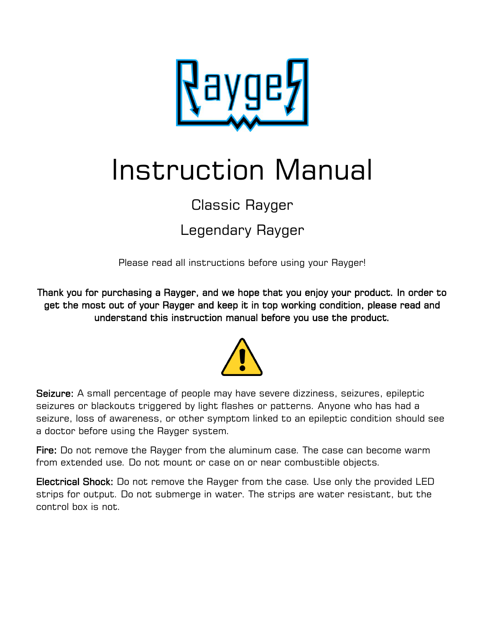

# Instruction Manual

# Classic Rayger

## Legendary Rayger

Please read all instructions before using your Rayger!

Thank you for purchasing a Rayger, and we hope that you enjoy your product. In order to get the most out of your Rayger and keep it in top working condition, please read and understand this instruction manual before you use the product.



Seizure: A small percentage of people may have severe dizziness, seizures, epileptic seizures or blackouts triggered by light flashes or patterns. Anyone who has had a seizure, loss of awareness, or other symptom linked to an epileptic condition should see a doctor before using the Rayger system.

Fire: Do not remove the Rayger from the aluminum case. The case can become warm from extended use. Do not mount or case on or near combustible objects.

Electrical Shock: Do not remove the Rayger from the case. Use only the provided LED strips for output. Do not submerge in water. The strips are water resistant, but the control box is not.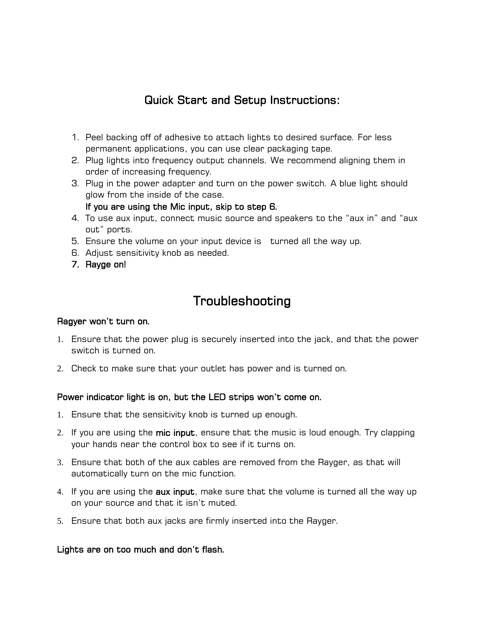### Quick Start and Setup Instructions:

- 1. Peel backing off of adhesive to attach lights to desired surface. For less permanent applications, you can use clear packaging tape.
- 2. Plug lights into frequency output channels. We recommend aligning them in order of increasing frequency.
- 3. Plug in the power adapter and turn on the power switch. A blue light should glow from the inside of the case.

If you are using the Mic input, skip to step 6.

- 4. To use aux input, connect music source and speakers to the "aux in" and "aux out" ports.
- 5. Ensure the volume on your input device is turned all the way up.
- 6. Adjust sensitivity knob as needed.
- 7. Rayge on!

## Troubleshooting

#### Ragyer won't turn on.

- 1. Ensure that the power plug is securely inserted into the jack, and that the power switch is turned on.
- 2. Check to make sure that your outlet has power and is turned on.

#### Power indicator light is on, but the LED strips won't come on.

- 1. Ensure that the sensitivity knob is turned up enough.
- 2. If you are using the mic input, ensure that the music is loud enough. Try clapping your hands near the control box to see if it turns on.
- 3. Ensure that both of the aux cables are removed from the Rayger, as that will automatically turn on the mic function.
- 4. If you are using the **aux input**, make sure that the volume is turned all the way up on your source and that it isn't muted.
- 5. Ensure that both aux jacks are firmly inserted into the Rayger.

#### Lights are on too much and don't flash.